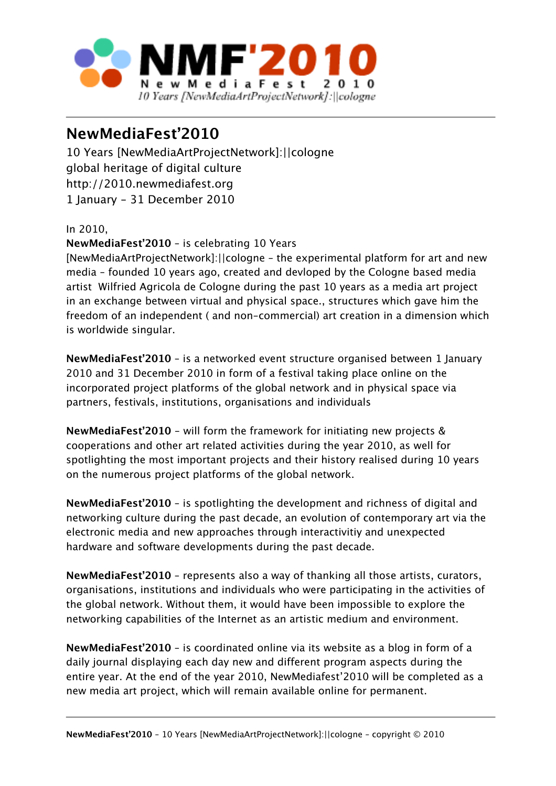

## **NewMediaFest'2010**

10 Years [NewMediaArtProjectNetwork]:||cologne global heritage of digital culture http://2010.newmediafest.org 1 January - 31 December 2010

In 2010,

## **NewMediaFest'2010** – is celebrating 10 Years

[NewMediaArtProjectNetwork]:||cologne – the experimental platform for art and new media – founded 10 years ago, created and devloped by the Cologne based media artist Wilfried Agricola de Cologne during the past 10 years as a media art project in an exchange between virtual and physical space., structures which gave him the freedom of an independent ( and non-commercial) art creation in a dimension which is worldwide singular.

**NewMediaFest'2010** – is a networked event structure organised between 1 January 2010 and 31 December 2010 in form of a festival taking place online on the incorporated project platforms of the global network and in physical space via partners, festivals, institutions, organisations and individuals

**NewMediaFest'2010** - will form the framework for initiating new projects & cooperations and other art related activities during the year 2010, as well for spotlighting the most important projects and their history realised during 10 years on the numerous project platforms of the global network.

**NewMediaFest'2010** – is spotlighting the development and richness of digital and networking culture during the past decade, an evolution of contemporary art via the electronic media and new approaches through interactivitiy and unexpected hardware and software developments during the past decade.

**NewMediaFest'2010** – represents also a way of thanking all those artists, curators, organisations, institutions and individuals who were participating in the activities of the global network. Without them, it would have been impossible to explore the networking capabilities of the Internet as an artistic medium and environment.

**NewMediaFest'2010** – is coordinated online via its website as a blog in form of a daily journal displaying each day new and different program aspects during the entire year. At the end of the year 2010, NewMediafest'2010 will be completed as a new media art project, which will remain available online for permanent.